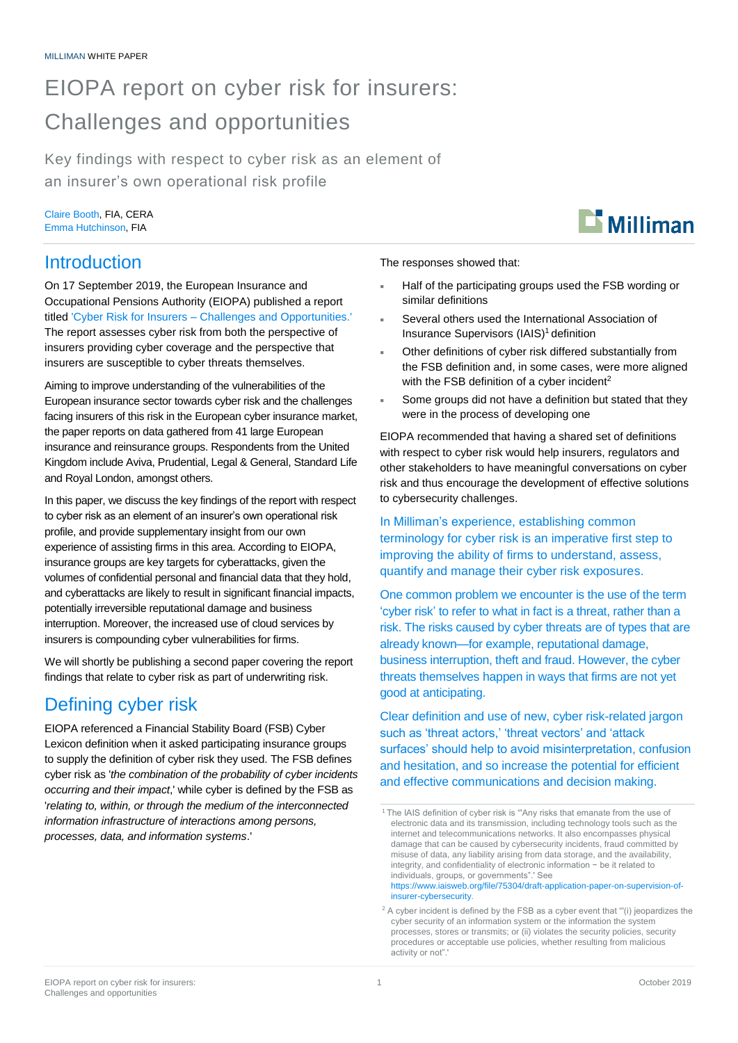# EIOPA report on cyber risk for insurers: Challenges and opportunities

Key findings with respect to cyber risk as an element of an insurer's own operational risk profile

Claire Booth, FIA, CERA Emma Hutchinson, FIA

### Introduction

On 17 September 2019, the European Insurance and Occupational Pensions Authority (EIOPA) published a report titled 'Cyber Risk for Insurers – [Challenges and Opportunities.'](https://eiopa.europa.eu/Publications/Reports/EIOPA_Cyber%20risk%20for%20insurers_Sept2019.pdf) The report assesses cyber risk from both the perspective of insurers providing cyber coverage and the perspective that insurers are susceptible to cyber threats themselves.

Aiming to improve understanding of the vulnerabilities of the European insurance sector towards cyber risk and the challenges facing insurers of this risk in the European cyber insurance market, the paper reports on data gathered from 41 large European insurance and reinsurance groups. Respondents from the United Kingdom include Aviva, Prudential, Legal & General, Standard Life and Royal London, amongst others.

In this paper, we discuss the key findings of the report with respect to cyber risk as an element of an insurer's own operational risk profile, and provide supplementary insight from our own experience of assisting firms in this area. According to EIOPA, insurance groups are key targets for cyberattacks, given the volumes of confidential personal and financial data that they hold, and cyberattacks are likely to result in significant financial impacts, potentially irreversible reputational damage and business interruption. Moreover, the increased use of cloud services by insurers is compounding cyber vulnerabilities for firms.

We will shortly be publishing a second paper covering the report findings that relate to cyber risk as part of underwriting risk.

# Defining cyber risk

EIOPA referenced a Financial Stability Board (FSB) Cyber Lexicon definition when it asked participating insurance groups to supply the definition of cyber risk they used. The FSB defines cyber risk as '*the combination of the probability of cyber incidents occurring and their impact*,' while cyber is defined by the FSB as '*relating to, within, or through the medium of the interconnected information infrastructure of interactions among persons, processes, data, and information systems*.'



The responses showed that:

- Half of the participating groups used the FSB wording or similar definitions
- Several others used the International Association of Insurance Supervisors (IAIS) <sup>1</sup> definition
- Other definitions of cyber risk differed substantially from the FSB definition and, in some cases, were more aligned with the FSB definition of a cyber incident<sup>2</sup>
- Some groups did not have a definition but stated that they were in the process of developing one

EIOPA recommended that having a shared set of definitions with respect to cyber risk would help insurers, regulators and other stakeholders to have meaningful conversations on cyber risk and thus encourage the development of effective solutions to cybersecurity challenges.

In Milliman's experience, establishing common terminology for cyber risk is an imperative first step to improving the ability of firms to understand, assess, quantify and manage their cyber risk exposures.

One common problem we encounter is the use of the term 'cyber risk' to refer to what in fact is a threat, rather than a risk. The risks caused by cyber threats are of types that are already known—for example, reputational damage, business interruption, theft and fraud. However, the cyber threats themselves happen in ways that firms are not yet good at anticipating.

Clear definition and use of new, cyber risk-related jargon such as 'threat actors,' 'threat vectors' and 'attack surfaces' should help to avoid misinterpretation, confusion and hesitation, and so increase the potential for efficient and effective communications and decision making.

[https://www.iaisweb.org/file/75304/draft-application-paper-on-supervision-of](https://www.iaisweb.org/file/75304/draft-application-paper-on-supervision-of-insurer-cybersecurity)[insurer-cybersecurity.](https://www.iaisweb.org/file/75304/draft-application-paper-on-supervision-of-insurer-cybersecurity)

<sup>&</sup>lt;sup>1</sup> The IAIS definition of cyber risk is "'Any risks that emanate from the use of electronic data and its transmission, including technology tools such as the internet and telecommunications networks. It also encompasses physical damage that can be caused by cybersecurity incidents, fraud committed by misuse of data, any liability arising from data storage, and the availability, integrity, and confidentiality of electronic information − be it related to individuals, groups, or governments".' See

 $2$  A cyber incident is defined by the FSB as a cyber event that " $(i)$  jeopardizes the cyber security of an information system or the information the system processes, stores or transmits; or (ii) violates the security policies, security procedures or acceptable use policies, whether resulting from malicious activity or not".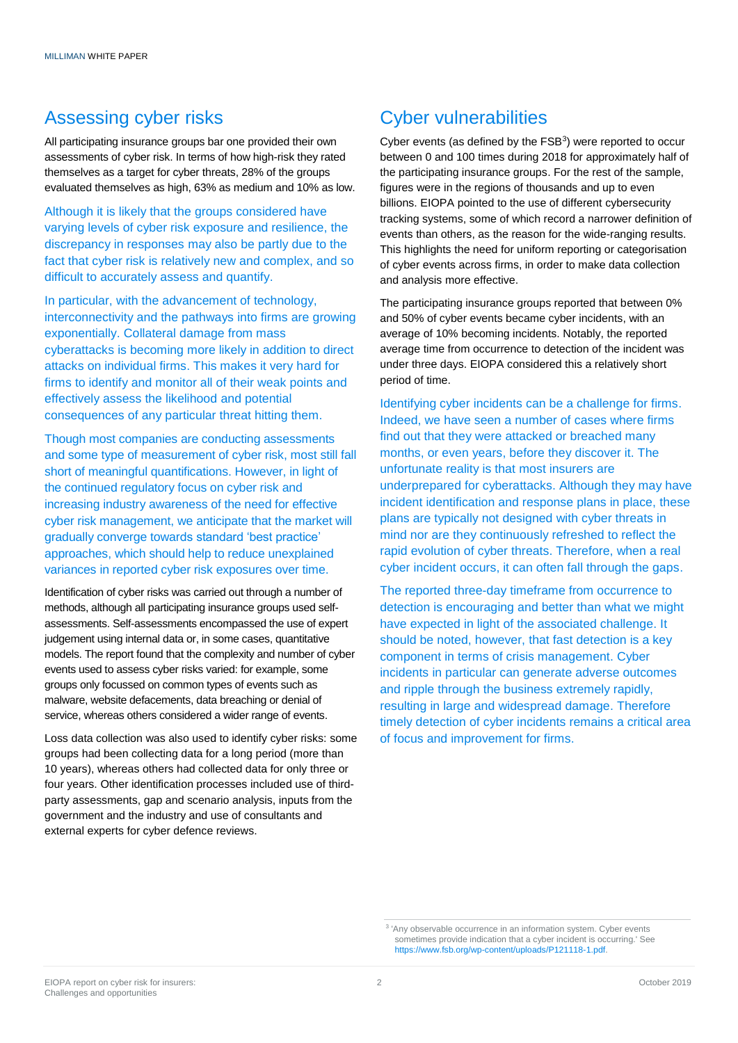### Assessing cyber risks

All participating insurance groups bar one provided their own assessments of cyber risk. In terms of how high-risk they rated themselves as a target for cyber threats, 28% of the groups evaluated themselves as high, 63% as medium and 10% as low.

Although it is likely that the groups considered have varying levels of cyber risk exposure and resilience, the discrepancy in responses may also be partly due to the fact that cyber risk is relatively new and complex, and so difficult to accurately assess and quantify.

In particular, with the advancement of technology, interconnectivity and the pathways into firms are growing exponentially. Collateral damage from mass cyberattacks is becoming more likely in addition to direct attacks on individual firms. This makes it very hard for firms to identify and monitor all of their weak points and effectively assess the likelihood and potential consequences of any particular threat hitting them.

Though most companies are conducting assessments and some type of measurement of cyber risk, most still fall short of meaningful quantifications. However, in light of the continued regulatory focus on cyber risk and increasing industry awareness of the need for effective cyber risk management, we anticipate that the market will gradually converge towards standard 'best practice' approaches, which should help to reduce unexplained variances in reported cyber risk exposures over time.

Identification of cyber risks was carried out through a number of methods, although all participating insurance groups used selfassessments. Self-assessments encompassed the use of expert judgement using internal data or, in some cases, quantitative models. The report found that the complexity and number of cyber events used to assess cyber risks varied: for example, some groups only focussed on common types of events such as malware, website defacements, data breaching or denial of service, whereas others considered a wider range of events.

Loss data collection was also used to identify cyber risks: some groups had been collecting data for a long period (more than 10 years), whereas others had collected data for only three or four years. Other identification processes included use of thirdparty assessments, gap and scenario analysis, inputs from the government and the industry and use of consultants and external experts for cyber defence reviews.

### Cyber vulnerabilities

Cyber events (as defined by the  $FSB<sup>3</sup>$ ) were reported to occur between 0 and 100 times during 2018 for approximately half of the participating insurance groups. For the rest of the sample, figures were in the regions of thousands and up to even billions. EIOPA pointed to the use of different cybersecurity tracking systems, some of which record a narrower definition of events than others, as the reason for the wide-ranging results. This highlights the need for uniform reporting or categorisation of cyber events across firms, in order to make data collection and analysis more effective.

The participating insurance groups reported that between 0% and 50% of cyber events became cyber incidents, with an average of 10% becoming incidents. Notably, the reported average time from occurrence to detection of the incident was under three days. EIOPA considered this a relatively short period of time.

Identifying cyber incidents can be a challenge for firms. Indeed, we have seen a number of cases where firms find out that they were attacked or breached many months, or even years, before they discover it. The unfortunate reality is that most insurers are underprepared for cyberattacks. Although they may have incident identification and response plans in place, these plans are typically not designed with cyber threats in mind nor are they continuously refreshed to reflect the rapid evolution of cyber threats. Therefore, when a real cyber incident occurs, it can often fall through the gaps.

The reported three-day timeframe from occurrence to detection is encouraging and better than what we might have expected in light of the associated challenge. It should be noted, however, that fast detection is a key component in terms of crisis management. Cyber incidents in particular can generate adverse outcomes and ripple through the business extremely rapidly, resulting in large and widespread damage. Therefore timely detection of cyber incidents remains a critical area of focus and improvement for firms.

<sup>3</sup> 'Any observable occurrence in an information system. Cyber events sometimes provide indication that a cyber incident is occurring.' See [https://www.fsb.org/wp-content/uploads/P121118-1.pdf.](https://www.fsb.org/wp-content/uploads/P121118-1.pdf)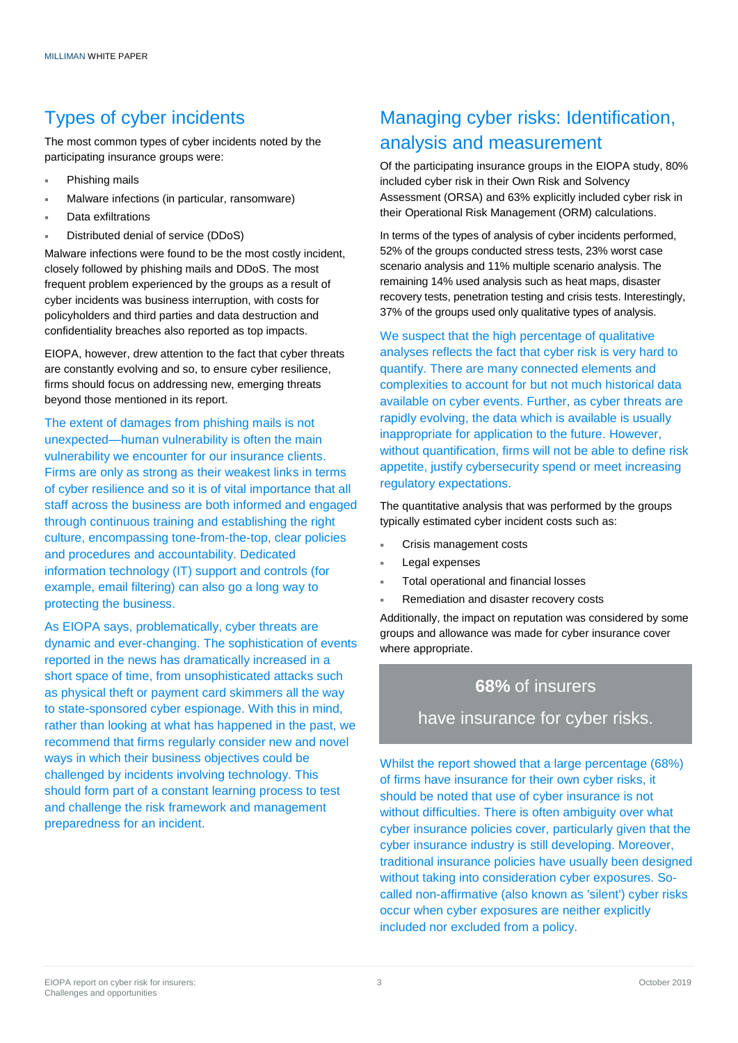### Types of cyber incidents

The most common types of cyber incidents noted by the participating insurance groups were:

- Phishing mails
- Malware infections (in particular, ransomware)
- Data exfiltrations
- Distributed denial of service (DDoS)

Malware infections were found to be the most costly incident, closely followed by phishing mails and DDoS. The most frequent problem experienced by the groups as a result of cyber incidents was business interruption, with costs for policyholders and third parties and data destruction and confidentiality breaches also reported as top impacts.

EIOPA, however, drew attention to the fact that cyber threats are constantly evolving and so, to ensure cyber resilience, firms should focus on addressing new, emerging threats beyond those mentioned in its report.

The extent of damages from phishing mails is not unexpected—human vulnerability is often the main vulnerability we encounter for our insurance clients. Firms are only as strong as their weakest links in terms of cyber resilience and so it is of vital importance that all staff across the business are both informed and engaged through continuous training and establishing the right culture, encompassing tone-from-the-top, clear policies and procedures and accountability. Dedicated information technology (IT) support and controls (for example, email filtering) can also go a long way to protecting the business.

As EIOPA says, problematically, cyber threats are dynamic and ever-changing. The sophistication of events reported in the news has dramatically increased in a short space of time, from unsophisticated attacks such as physical theft or payment card skimmers all the way to state-sponsored cyber espionage. With this in mind, rather than looking at what has happened in the past, we recommend that firms regularly consider new and novel ways in which their business objectives could be challenged by incidents involving technology. This should form part of a constant learning process to test and challenge the risk framework and management preparedness for an incident.

## Managing cyber risks: Identification, analysis and measurement

Of the participating insurance groups in the EIOPA study, 80% included cyber risk in their Own Risk and Solvency Assessment (ORSA) and 63% explicitly included cyber risk in their Operational Risk Management (ORM) calculations.

In terms of the types of analysis of cyber incidents performed, 52% of the groups conducted stress tests, 23% worst case scenario analysis and 11% multiple scenario analysis. The remaining 14% used analysis such as heat maps, disaster recovery tests, penetration testing and crisis tests. Interestingly, 37% of the groups used only qualitative types of analysis.

We suspect that the high percentage of qualitative analyses reflects the fact that cyber risk is very hard to quantify. There are many connected elements and complexities to account for but not much historical data available on cyber events. Further, as cyber threats are rapidly evolving, the data which is available is usually inappropriate for application to the future. However, without quantification, firms will not be able to define risk appetite, justify cybersecurity spend or meet increasing regulatory expectations.

The quantitative analysis that was performed by the groups typically estimated cyber incident costs such as:

- Crisis management costs
- Legal expenses
- Total operational and financial losses
- Remediation and disaster recovery costs

Additionally, the impact on reputation was considered by some groups and allowance was made for cyber insurance cover where appropriate.

# **68%** of insurers

have insurance for cyber risks.

Whilst the report showed that a large percentage (68%) of firms have insurance for their own cyber risks, it should be noted that use of cyber insurance is not without difficulties. There is often ambiguity over what cyber insurance policies cover, particularly given that the cyber insurance industry is still developing. Moreover, traditional insurance policies have usually been designed without taking into consideration cyber exposures. Socalled non-affirmative (also known as 'silent') cyber risks occur when cyber exposures are neither explicitly included nor excluded from a policy.